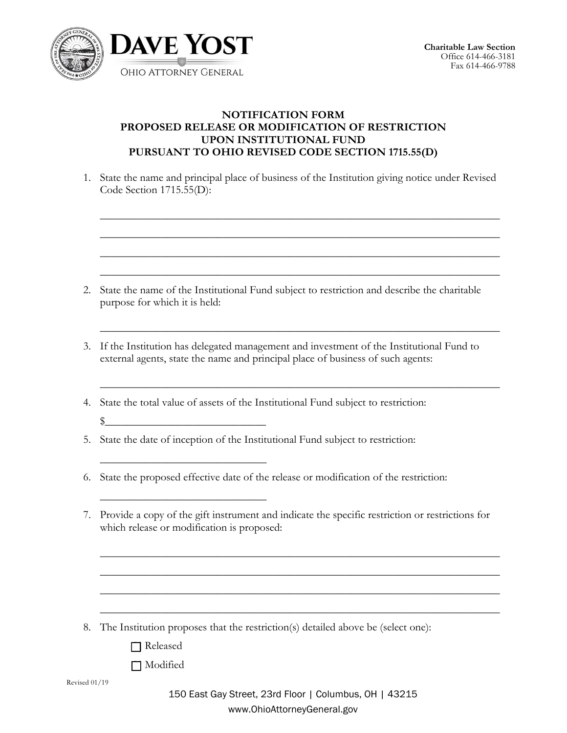

## **NOTIFICATION FORM PROPOSED RELEASE OR MODIFICATION OF RESTRICTION UPON INSTITUTIONAL FUND PURSUANT TO OHIO REVISED CODE SECTION 1715.55(D)**

1. State the name and principal place of business of the Institution giving notice under Revised Code Section 1715.55(D):

 $\_$  , and the set of the set of the set of the set of the set of the set of the set of the set of the set of the set of the set of the set of the set of the set of the set of the set of the set of the set of the set of th

 $\_$  , and the set of the set of the set of the set of the set of the set of the set of the set of the set of the set of the set of the set of the set of the set of the set of the set of the set of the set of the set of th

 $\_$  , and the set of the set of the set of the set of the set of the set of the set of the set of the set of the set of the set of the set of the set of the set of the set of the set of the set of the set of the set of th

 $\_$  , and the set of the set of the set of the set of the set of the set of the set of the set of the set of the set of the set of the set of the set of the set of the set of the set of the set of the set of the set of th

 $\_$  , and the set of the set of the set of the set of the set of the set of the set of the set of the set of the set of the set of the set of the set of the set of the set of the set of the set of the set of the set of th

 $\_$  , and the set of the set of the set of the set of the set of the set of the set of the set of the set of the set of the set of the set of the set of the set of the set of the set of the set of the set of the set of th

- 2. State the name of the Institutional Fund subject to restriction and describe the charitable purpose for which it is held:
- 3. If the Institution has delegated management and investment of the Institutional Fund to external agents, state the name and principal place of business of such agents:
- 4. State the total value of assets of the Institutional Fund subject to restriction:  $\sim$
- 5. State the date of inception of the Institutional Fund subject to restriction:
- 6. State the proposed effective date of the release or modification of the restriction:
- 7. Provide a copy of the gift instrument and indicate the specific restriction or restrictions for which release or modification is proposed:

- 8. The Institution proposes that the restriction(s) detailed above be (select one):
	- [ ] Released

 $\overline{\phantom{a}}$  , where  $\overline{\phantom{a}}$  , where  $\overline{\phantom{a}}$  , where  $\overline{\phantom{a}}$  ,  $\overline{\phantom{a}}$  ,  $\overline{\phantom{a}}$  ,  $\overline{\phantom{a}}$  ,  $\overline{\phantom{a}}$  ,  $\overline{\phantom{a}}$  ,  $\overline{\phantom{a}}$  ,  $\overline{\phantom{a}}$  ,  $\overline{\phantom{a}}$  ,  $\overline{\phantom{a}}$  ,  $\overline{\phantom{a}}$  ,  $\overline{\phantom$ 

 $\overline{\phantom{a}}$  , where  $\overline{\phantom{a}}$  , where  $\overline{\phantom{a}}$  , where  $\overline{\phantom{a}}$  ,  $\overline{\phantom{a}}$  ,  $\overline{\phantom{a}}$  ,  $\overline{\phantom{a}}$  ,  $\overline{\phantom{a}}$  ,  $\overline{\phantom{a}}$  ,  $\overline{\phantom{a}}$  ,  $\overline{\phantom{a}}$  ,  $\overline{\phantom{a}}$  ,  $\overline{\phantom{a}}$  ,  $\overline{\phantom{a}}$  ,  $\overline{\phantom$ 

[ ] Modified

 $\_$  , and the set of the set of the set of the set of the set of the set of the set of the set of the set of the set of the set of the set of the set of the set of the set of the set of the set of the set of the set of th

 $\_$  , and the set of the set of the set of the set of the set of the set of the set of the set of the set of the set of the set of the set of the set of the set of the set of the set of the set of the set of the set of th

 $\_$  , and the set of the set of the set of the set of the set of the set of the set of the set of the set of the set of the set of the set of the set of the set of the set of the set of the set of the set of the set of th

 $\_$  , and the set of the set of the set of the set of the set of the set of the set of the set of the set of the set of the set of the set of the set of the set of the set of the set of the set of the set of the set of th